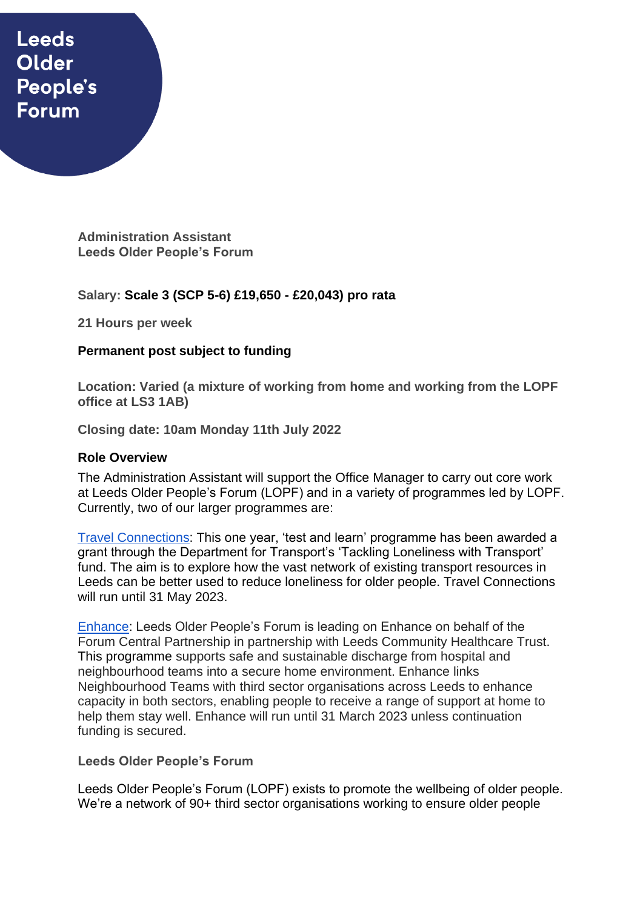# **Leeds** Older People's **Forum**

**Administration Assistant Leeds Older People's Forum**

## **Salary: Scale 3 (SCP 5-6) £19,650 - £20,043) pro rata**

**21 Hours per week** 

## **Permanent post subject to funding**

**Location: Varied (a mixture of working from home and working from the LOPF office at LS3 1AB)** 

**Closing date: 10am Monday 11th July 2022**

#### **Role Overview**

The Administration Assistant will support the Office Manager to carry out core work at Leeds Older People's Forum (LOPF) and in a variety of programmes led by LOPF. Currently, two of our larger programmes are:

[Travel Connections:](https://www.opforum.org.uk/projects-and-campaigns/travel-connections/) This one year, 'test and learn' programme has been awarded a grant through the Department for Transport's 'Tackling Loneliness with Transport' fund. The aim is to explore how the vast network of existing transport resources in Leeds can be better used to reduce loneliness for older people. Travel Connections will run until 31 May 2023.

[Enhance:](https://www.opforum.org.uk/projects-and-campaigns/enhance-programme/) Leeds Older People's Forum is leading on Enhance on behalf of the Forum Central Partnership in partnership with Leeds Community Healthcare Trust. This programme supports safe and sustainable discharge from hospital and neighbourhood teams into a secure home environment. Enhance links Neighbourhood Teams with third sector organisations across Leeds to enhance capacity in both sectors, enabling people to receive a range of support at home to help them stay well. Enhance will run until 31 March 2023 unless continuation funding is secured.

#### **Leeds Older People's Forum**

Leeds Older People's Forum (LOPF) exists to promote the wellbeing of older people. We're a network of 90+ third sector organisations working to ensure older people